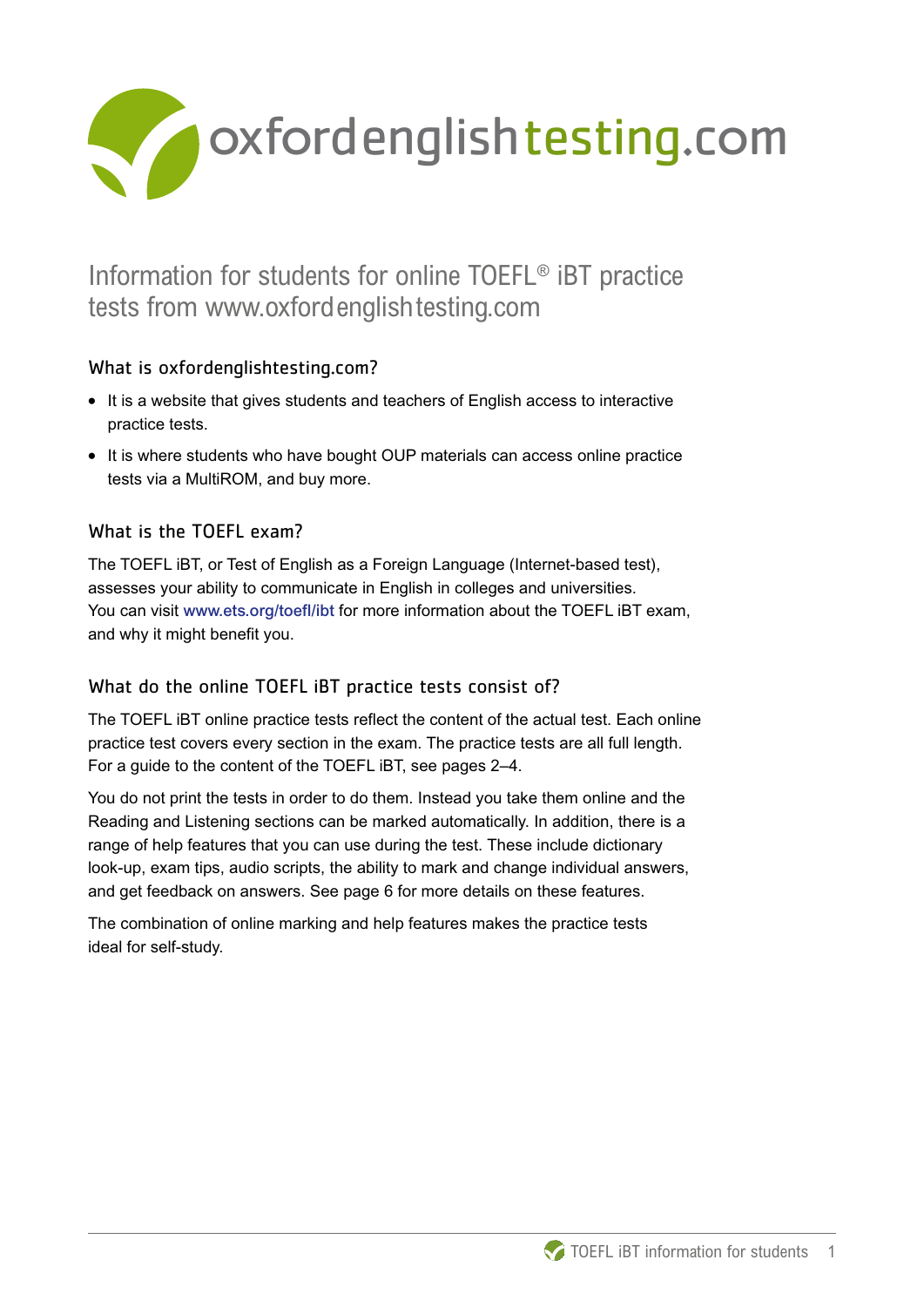

# Information for students for online TOEFL® iBT practice tests from www.oxfordenglishtesting.com

# What is oxfordenglishtesting.com?

- **What is oxfordenglishtesting.com?**<br>• It is a website that gives students and teachers of English access to interactive practice tests.
- **•** It is where students who have bought OUP materials can access online practice tests via a MultiROM, and buy more.

# What is the TOFFL exam?

The TOEFL iBT, or Test of English as a Foreign Language (Internet-based test), assesses your ability to communicate in English in colleges and universities. You can visit www.ets.org/toefl/ibt for more information about the TOEFL iBT exam, and why it might benefit you.

# What do the online TOEFL iBT practice tests consist of?

The TOEFL iBT online practice tests reflect the content of the actual test. Each online practice test covers every section in the exam. The practice tests are all full length. For a guide to the content of the TOEFL iBT, see pages 2–4.

You do not print the tests in order to do them. Instead you take them online and the Reading and Listening sections can be marked automatically. In addition, there is a range of help features that you can use during the test. These include dictionary look-up, exam tips, audio scripts, the ability to mark and change individual answers, and get feedback on answers. See page 6 for more details on these features.

The combination of online marking and help features makes the practice tests ideal for self-study.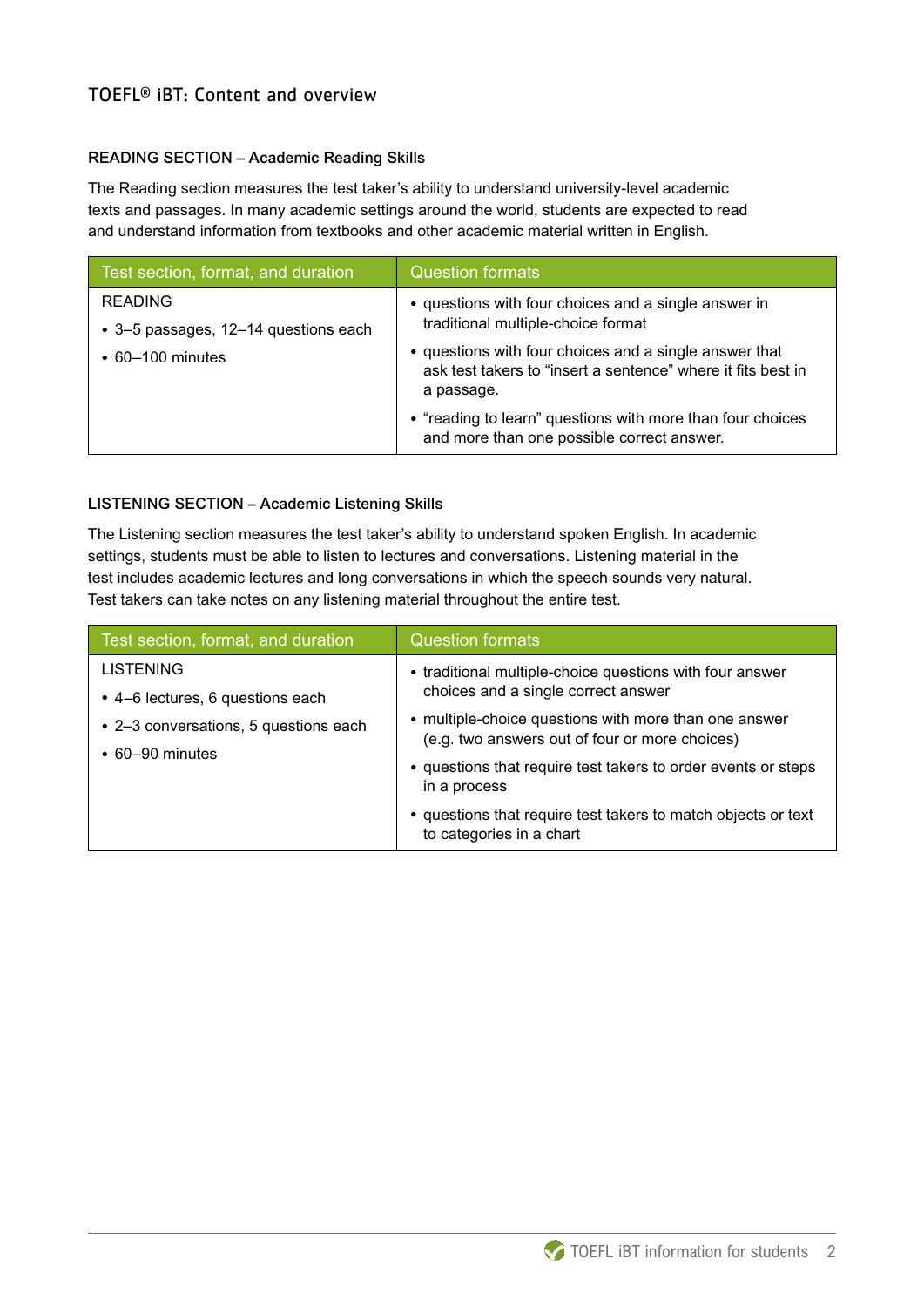# TOEFL® iBT: Content and overview

#### READING SECTION – Academic Reading Skills

The Reading section measures the test taker's ability to understand university-level academic texts and passages. In many academic settings around the world, students are expected to read and understand information from textbooks and other academic material written in English.

| Test section, format, and duration   | <b>Question formats</b>                                                                                                              |
|--------------------------------------|--------------------------------------------------------------------------------------------------------------------------------------|
| <b>READING</b>                       | • questions with four choices and a single answer in                                                                                 |
| • 3-5 passages, 12-14 questions each | traditional multiple-choice format                                                                                                   |
| $\cdot$ 60-100 minutes               | • questions with four choices and a single answer that<br>ask test takers to "insert a sentence" where it fits best in<br>a passage. |
|                                      | • "reading to learn" questions with more than four choices<br>and more than one possible correct answer.                             |

#### LISTENING SECTION – Academic Listening Skills

The Listening section measures the test taker's ability to understand spoken English. In academic settings, students must be able to listen to lectures and conversations. Listening material in the test includes academic lectures and long conversations in which the speech sounds very natural. Test takers can take notes on any listening material throughout the entire test.

| Test section, format, and duration                                                                                     | <b>Question formats</b>                                                                                                                                                  |
|------------------------------------------------------------------------------------------------------------------------|--------------------------------------------------------------------------------------------------------------------------------------------------------------------------|
| <b>LISTENING</b><br>• 4–6 lectures, 6 questions each<br>• 2-3 conversations, 5 questions each<br>$\cdot$ 60-90 minutes | • traditional multiple-choice questions with four answer<br>choices and a single correct answer                                                                          |
|                                                                                                                        | • multiple-choice questions with more than one answer<br>(e.g. two answers out of four or more choices)<br>• questions that require test takers to order events or steps |
|                                                                                                                        | in a process                                                                                                                                                             |
|                                                                                                                        | • questions that require test takers to match objects or text<br>to categories in a chart                                                                                |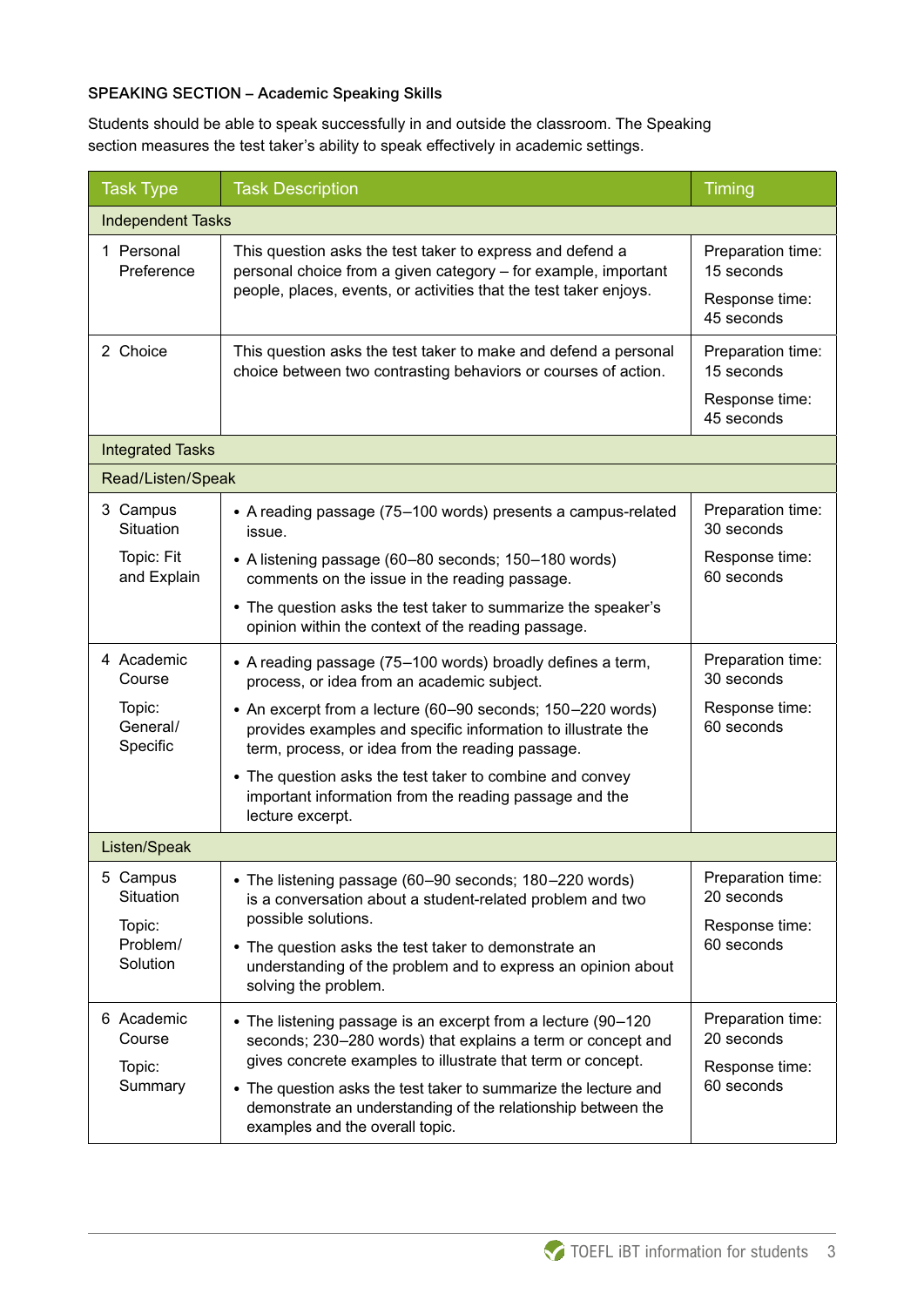### SPEAKING SECTION – Academic Speaking Skills

Students should be able to speak successfully in and outside the classroom. The Speaking section measures the test taker's ability to speak effectively in academic settings.

| <b>Task Type</b>                                        | <b>Task Description</b>                                                                                                                                                                          | Timing                                                          |  |  |
|---------------------------------------------------------|--------------------------------------------------------------------------------------------------------------------------------------------------------------------------------------------------|-----------------------------------------------------------------|--|--|
| <b>Independent Tasks</b>                                |                                                                                                                                                                                                  |                                                                 |  |  |
| 1 Personal<br>Preference                                | This question asks the test taker to express and defend a<br>personal choice from a given category - for example, important<br>people, places, events, or activities that the test taker enjoys. | Preparation time:<br>15 seconds<br>Response time:<br>45 seconds |  |  |
| 2 Choice                                                | This question asks the test taker to make and defend a personal<br>choice between two contrasting behaviors or courses of action.                                                                | Preparation time:<br>15 seconds<br>Response time:<br>45 seconds |  |  |
| <b>Integrated Tasks</b>                                 |                                                                                                                                                                                                  |                                                                 |  |  |
| Read/Listen/Speak                                       |                                                                                                                                                                                                  |                                                                 |  |  |
| 3 Campus<br>Situation                                   | • A reading passage (75-100 words) presents a campus-related<br>issue.                                                                                                                           | Preparation time:<br>30 seconds                                 |  |  |
| Topic: Fit<br>and Explain                               | • A listening passage (60–80 seconds; 150–180 words)<br>comments on the issue in the reading passage.                                                                                            | Response time:<br>60 seconds                                    |  |  |
|                                                         | • The question asks the test taker to summarize the speaker's<br>opinion within the context of the reading passage.                                                                              |                                                                 |  |  |
| 4 Academic<br>Course                                    | • A reading passage (75–100 words) broadly defines a term,<br>process, or idea from an academic subject.                                                                                         | Preparation time:<br>30 seconds                                 |  |  |
| Topic:<br>General/<br>Specific                          | • An excerpt from a lecture (60-90 seconds; 150-220 words)<br>provides examples and specific information to illustrate the<br>term, process, or idea from the reading passage.                   | Response time:<br>60 seconds                                    |  |  |
|                                                         | • The question asks the test taker to combine and convey<br>important information from the reading passage and the<br>lecture excerpt.                                                           |                                                                 |  |  |
| Listen/Speak                                            |                                                                                                                                                                                                  |                                                                 |  |  |
| 5 Campus<br>Situation<br>Topic:<br>Problem/<br>Solution | • The listening passage (60-90 seconds; 180-220 words)<br>is a conversation about a student-related problem and two                                                                              | Preparation time:<br>20 seconds                                 |  |  |
|                                                         | possible solutions.<br>• The question asks the test taker to demonstrate an<br>understanding of the problem and to express an opinion about<br>solving the problem.                              | Response time:<br>60 seconds                                    |  |  |
| 6 Academic<br>Course<br>Topic:<br>Summary               | • The listening passage is an excerpt from a lecture (90-120<br>seconds; 230-280 words) that explains a term or concept and<br>gives concrete examples to illustrate that term or concept.       | Preparation time:<br>20 seconds                                 |  |  |
|                                                         | • The question asks the test taker to summarize the lecture and<br>demonstrate an understanding of the relationship between the<br>examples and the overall topic.                               | Response time:<br>60 seconds                                    |  |  |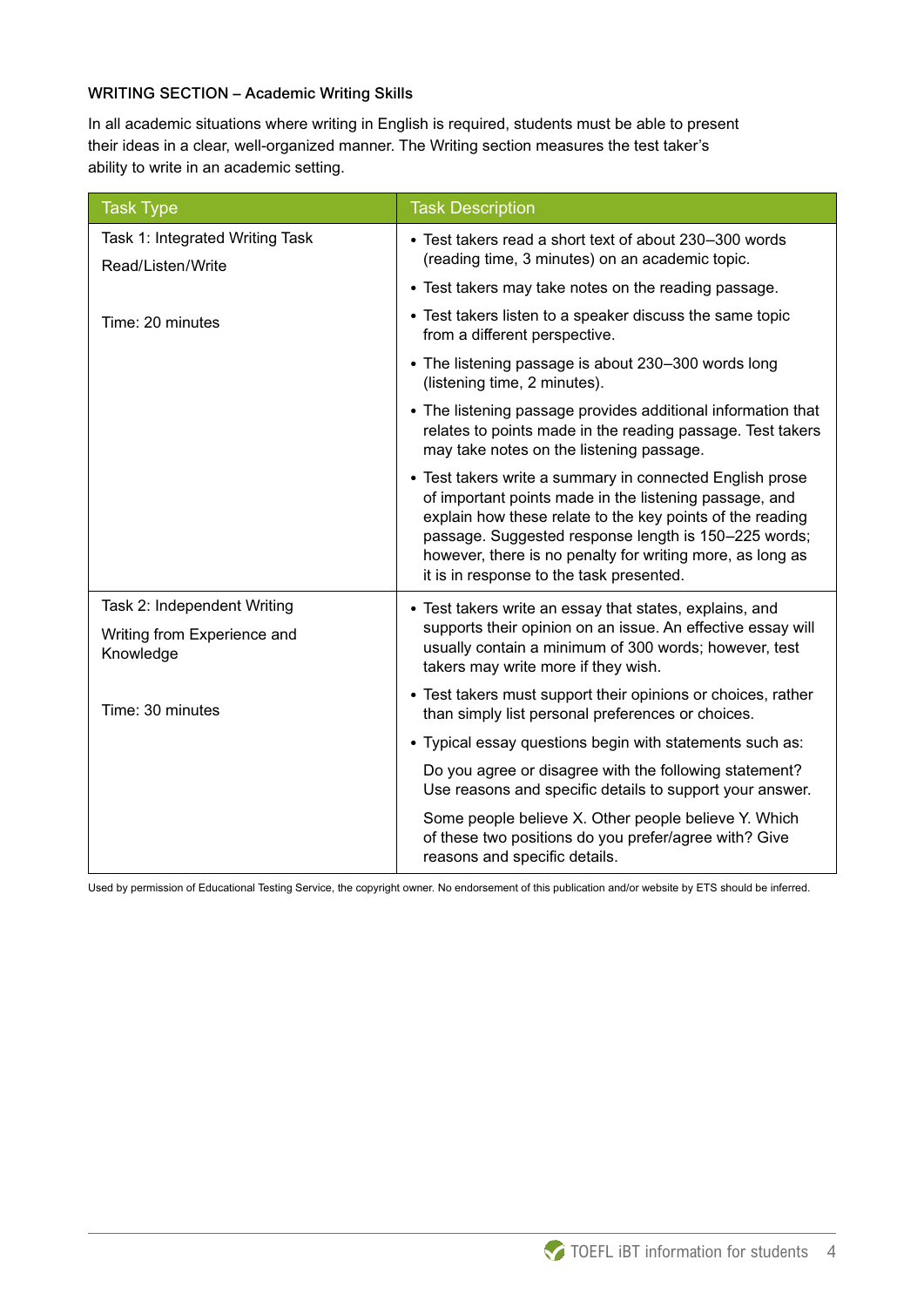### WRITING SECTION – Academic Writing Skills

In all academic situations where writing in English is required, students must be able to present their ideas in a clear, well-organized manner. The Writing section measures the test taker's ability to write in an academic setting.

| <b>Task Type</b>                                                        | <b>Task Description</b>                                                                                                                                                                                                                                                                                                                          |
|-------------------------------------------------------------------------|--------------------------------------------------------------------------------------------------------------------------------------------------------------------------------------------------------------------------------------------------------------------------------------------------------------------------------------------------|
| Task 1: Integrated Writing Task<br>Read/Listen/Write                    | • Test takers read a short text of about 230-300 words<br>(reading time, 3 minutes) on an academic topic.                                                                                                                                                                                                                                        |
|                                                                         | • Test takers may take notes on the reading passage.                                                                                                                                                                                                                                                                                             |
| Time: 20 minutes                                                        | • Test takers listen to a speaker discuss the same topic<br>from a different perspective.                                                                                                                                                                                                                                                        |
|                                                                         | • The listening passage is about 230-300 words long<br>(listening time, 2 minutes).                                                                                                                                                                                                                                                              |
|                                                                         | • The listening passage provides additional information that<br>relates to points made in the reading passage. Test takers<br>may take notes on the listening passage.                                                                                                                                                                           |
|                                                                         | • Test takers write a summary in connected English prose<br>of important points made in the listening passage, and<br>explain how these relate to the key points of the reading<br>passage. Suggested response length is 150-225 words;<br>however, there is no penalty for writing more, as long as<br>it is in response to the task presented. |
| Task 2: Independent Writing<br>Writing from Experience and<br>Knowledge | • Test takers write an essay that states, explains, and<br>supports their opinion on an issue. An effective essay will<br>usually contain a minimum of 300 words; however, test<br>takers may write more if they wish.                                                                                                                           |
| Time: 30 minutes                                                        | • Test takers must support their opinions or choices, rather<br>than simply list personal preferences or choices.                                                                                                                                                                                                                                |
|                                                                         | • Typical essay questions begin with statements such as:                                                                                                                                                                                                                                                                                         |
|                                                                         | Do you agree or disagree with the following statement?<br>Use reasons and specific details to support your answer.                                                                                                                                                                                                                               |
|                                                                         | Some people believe X. Other people believe Y. Which<br>of these two positions do you prefer/agree with? Give<br>reasons and specific details.                                                                                                                                                                                                   |

Used by permission of Educational Testing Service, the copyright owner. No endorsement of this publication and/or website by ETS should be inferred.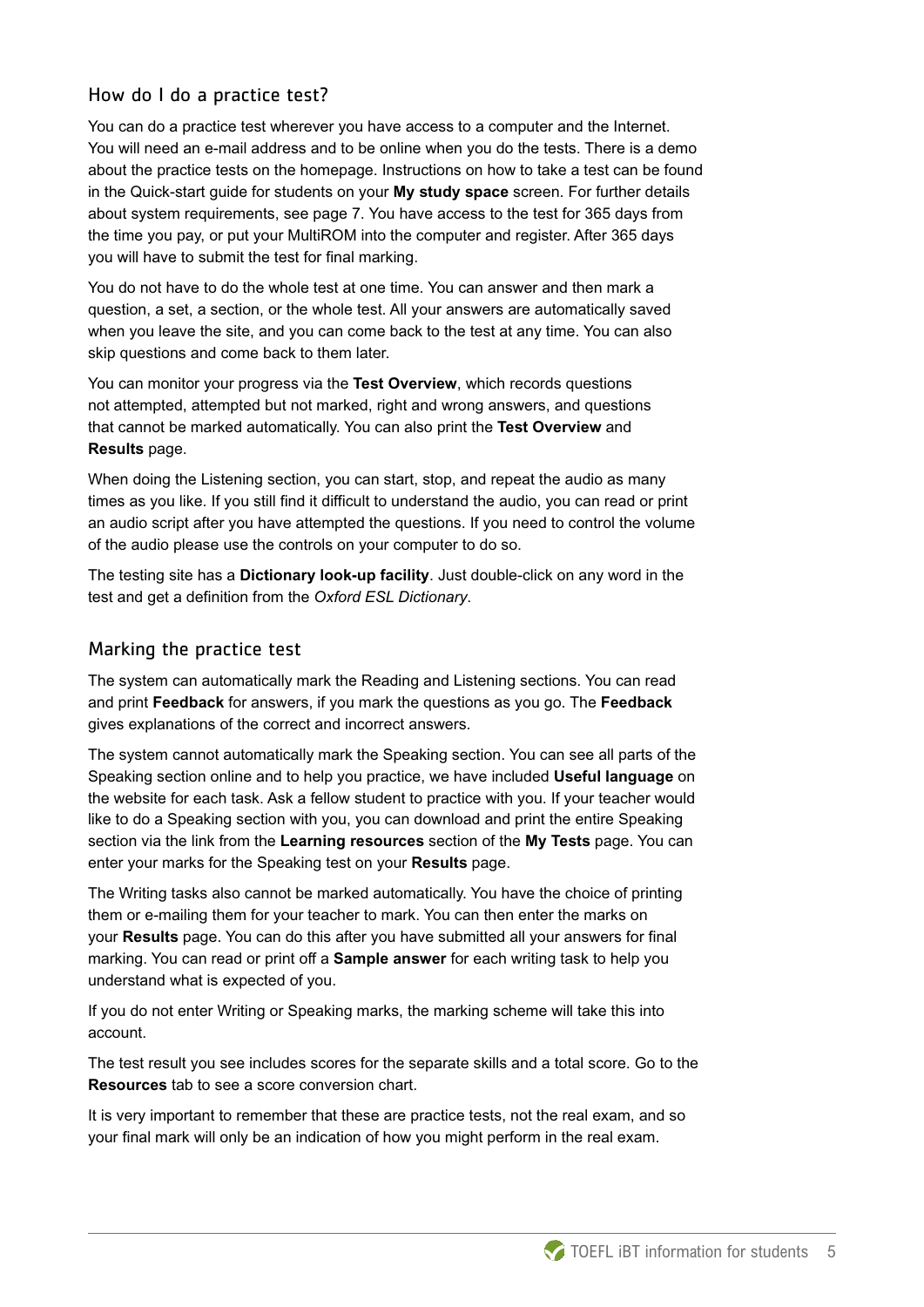## How do I do a practice test?

You can do a practice test wherever you have access to a computer and the Internet. You will need an e-mail address and to be online when you do the tests. There is a demo about the practice tests on the homepage. Instructions on how to take a test can be found in the Quick-start guide for students on your **My study space** screen. For further details about system requirements, see page 7. You have access to the test for 365 days from the time you pay, or put your MultiROM into the computer and register. After 365 days you will have to submit the test for final marking.

You do not have to do the whole test at one time. You can answer and then mark a question, a set, a section, or the whole test. All your answers are automatically saved when you leave the site, and you can come back to the test at any time. You can also skip questions and come back to them later.

You can monitor your progress via the **Test Overview**, which records questions not attempted, attempted but not marked, right and wrong answers, and questions that cannot be marked automatically. You can also print the **Test Overview** and **Results** page.

When doing the Listening section, you can start, stop, and repeat the audio as many times as you like. If you still find it difficult to understand the audio, you can read or print an audio script after you have attempted the questions. If you need to control the volume of the audio please use the controls on your computer to do so.

The testing site has a **Dictionary look-up facility**. Just double-click on any word in the test and get a definition from the *Oxford ESL Dictionary*.

## Marking the practice test

The system can automatically mark the Reading and Listening sections. You can read and print **Feedback** for answers, if you mark the questions as you go. The **Feedback** gives explanations of the correct and incorrect answers.

The system cannot automatically mark the Speaking section. You can see all parts of the Speaking section online and to help you practice, we have included **Useful language** on the website for each task. Ask a fellow student to practice with you. If your teacher would like to do a Speaking section with you, you can download and print the entire Speaking section via the link from the **Learning resources** section of the **My Tests** page. You can enter your marks for the Speaking test on your **Results** page.

The Writing tasks also cannot be marked automatically. You have the choice of printing them or e-mailing them for your teacher to mark. You can then enter the marks on your **Results** page. You can do this after you have submitted all your answers for final marking. You can read or print off a **Sample answer** for each writing task to help you understand what is expected of you.

If you do not enter Writing or Speaking marks, the marking scheme will take this into account.

The test result you see includes scores for the separate skills and a total score. Go to the **Resources** tab to see a score conversion chart.

It is very important to remember that these are practice tests, not the real exam, and so your final mark will only be an indication of how you might perform in the real exam.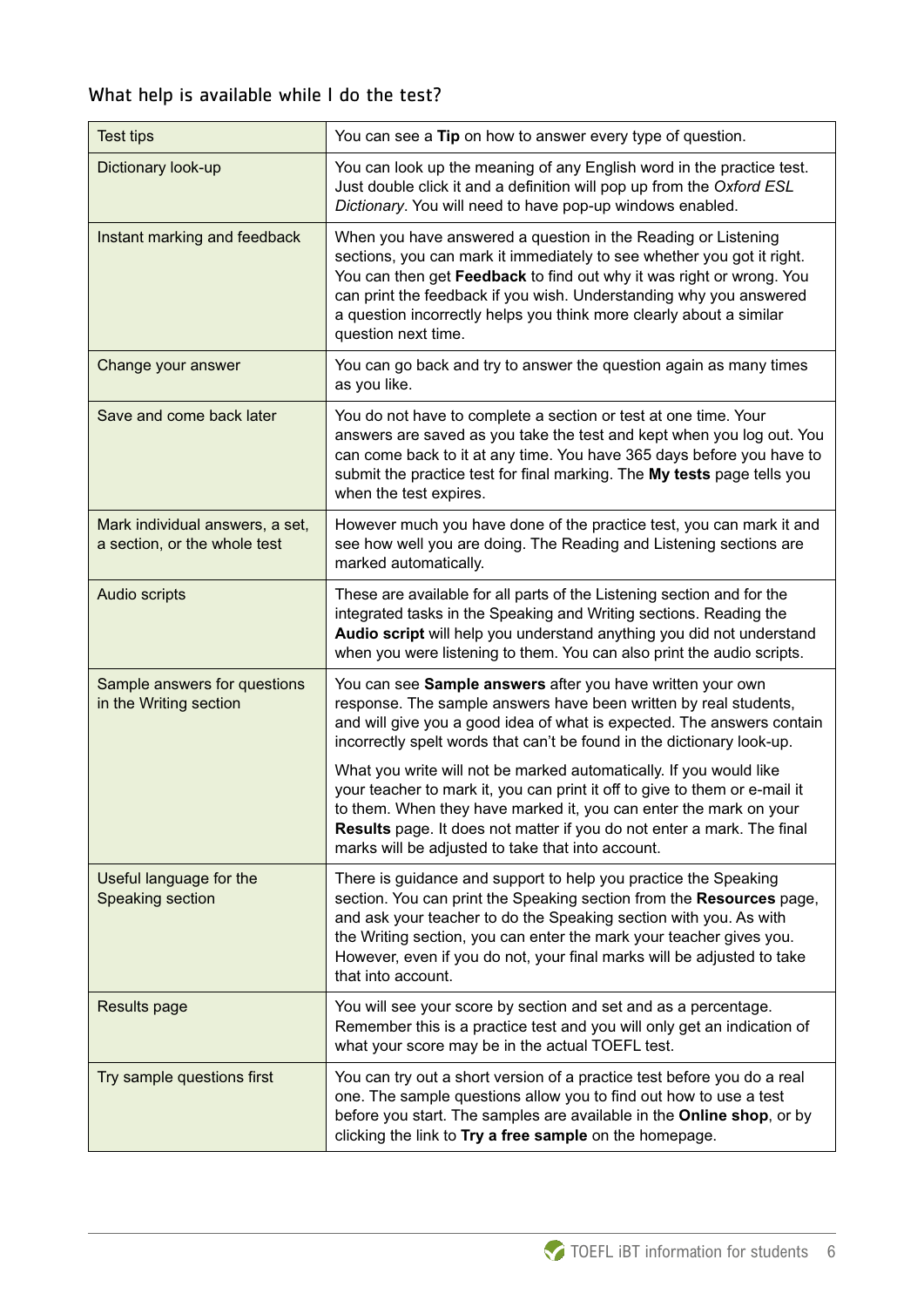# What help is available while I do the test?

| <b>Test tips</b>                                                | You can see a Tip on how to answer every type of question.                                                                                                                                                                                                                                                                                                                                                                                                                                                                                                                                                                                 |
|-----------------------------------------------------------------|--------------------------------------------------------------------------------------------------------------------------------------------------------------------------------------------------------------------------------------------------------------------------------------------------------------------------------------------------------------------------------------------------------------------------------------------------------------------------------------------------------------------------------------------------------------------------------------------------------------------------------------------|
| Dictionary look-up                                              | You can look up the meaning of any English word in the practice test.<br>Just double click it and a definition will pop up from the Oxford ESL<br>Dictionary. You will need to have pop-up windows enabled.                                                                                                                                                                                                                                                                                                                                                                                                                                |
| Instant marking and feedback                                    | When you have answered a question in the Reading or Listening<br>sections, you can mark it immediately to see whether you got it right.<br>You can then get Feedback to find out why it was right or wrong. You<br>can print the feedback if you wish. Understanding why you answered<br>a question incorrectly helps you think more clearly about a similar<br>question next time.                                                                                                                                                                                                                                                        |
| Change your answer                                              | You can go back and try to answer the question again as many times<br>as you like.                                                                                                                                                                                                                                                                                                                                                                                                                                                                                                                                                         |
| Save and come back later                                        | You do not have to complete a section or test at one time. Your<br>answers are saved as you take the test and kept when you log out. You<br>can come back to it at any time. You have 365 days before you have to<br>submit the practice test for final marking. The My tests page tells you<br>when the test expires.                                                                                                                                                                                                                                                                                                                     |
| Mark individual answers, a set,<br>a section, or the whole test | However much you have done of the practice test, you can mark it and<br>see how well you are doing. The Reading and Listening sections are<br>marked automatically.                                                                                                                                                                                                                                                                                                                                                                                                                                                                        |
| Audio scripts                                                   | These are available for all parts of the Listening section and for the<br>integrated tasks in the Speaking and Writing sections. Reading the<br>Audio script will help you understand anything you did not understand<br>when you were listening to them. You can also print the audio scripts.                                                                                                                                                                                                                                                                                                                                            |
| Sample answers for questions<br>in the Writing section          | You can see Sample answers after you have written your own<br>response. The sample answers have been written by real students,<br>and will give you a good idea of what is expected. The answers contain<br>incorrectly spelt words that can't be found in the dictionary look-up.<br>What you write will not be marked automatically. If you would like<br>your teacher to mark it, you can print it off to give to them or e-mail it<br>to them. When they have marked it, you can enter the mark on your<br>Results page. It does not matter if you do not enter a mark. The final<br>marks will be adjusted to take that into account. |
| Useful language for the<br>Speaking section                     | There is guidance and support to help you practice the Speaking<br>section. You can print the Speaking section from the Resources page,<br>and ask your teacher to do the Speaking section with you. As with<br>the Writing section, you can enter the mark your teacher gives you.<br>However, even if you do not, your final marks will be adjusted to take<br>that into account.                                                                                                                                                                                                                                                        |
| Results page                                                    | You will see your score by section and set and as a percentage.<br>Remember this is a practice test and you will only get an indication of<br>what your score may be in the actual TOEFL test.                                                                                                                                                                                                                                                                                                                                                                                                                                             |
| Try sample questions first                                      | You can try out a short version of a practice test before you do a real<br>one. The sample questions allow you to find out how to use a test<br>before you start. The samples are available in the Online shop, or by<br>clicking the link to Try a free sample on the homepage.                                                                                                                                                                                                                                                                                                                                                           |